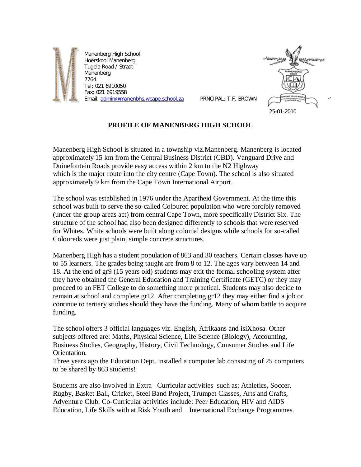

Manenberg High School Hoërskool Manenberg Tugela Road / Straat Manenberg 7764 Tel: 021 6910050 Fax: 021 6919558 Email: [admin@manenbhs.wcape.school.za](mailto:admin@manenbhs.wcape.school.za) PRNCIPAL: T.F. BROWN



## **PROFILE OF MANENBERG HIGH SCHOOL**

Manenberg High School is situated in a township viz.Manenberg. Manenberg is located approximately 15 km from the Central Business District (CBD). Vanguard Drive and Duinefontein Roads provide easy access within 2 km to the N2 Highway which is the major route into the city centre (Cape Town). The school is also situated approximately 9 km from the Cape Town International Airport.

The school was established in 1976 under the Apartheid Government. At the time this school was built to serve the so-called Coloured population who were forcibly removed (under the group areas act) from central Cape Town, more specifically District Six. The structure of the school had also been designed differently to schools that were reserved for Whites. White schools were built along colonial designs while schools for so-called Coloureds were just plain, simple concrete structures.

Manenberg High has a student population of 863 and 30 teachers. Certain classes have up to 55 learners. The grades being taught are from 8 to 12. The ages vary between 14 and 18. At the end of gr9 (15 years old) students may exit the formal schooling system after they have obtained the General Education and Training Certificate (GETC) or they may proceed to an FET College to do something more practical. Students may also decide to remain at school and complete gr12. After completing gr12 they may either find a job or continue to tertiary studies should they have the funding. Many of whom battle to acquire funding.

The school offers 3 official languages viz. English, Afrikaans and isiXhosa. Other subjects offered are: Maths, Physical Science, Life Science (Biology), Accounting, Business Studies, Geography, History, Civil Technology, Consumer Studies and Life Orientation.

Three years ago the Education Dept. installed a computer lab consisting of 25 computers to be shared by 863 students!

Students are also involved in Extra –Curricular activities such as: Athletics, Soccer, Rugby, Basket Ball, Cricket, Steel Band Project, Trumpet Classes, Arts and Crafts, Adventure Club. Co-Curricular activities include: Peer Education, HIV and AIDS Education, Life Skills with at Risk Youth and International Exchange Programmes.